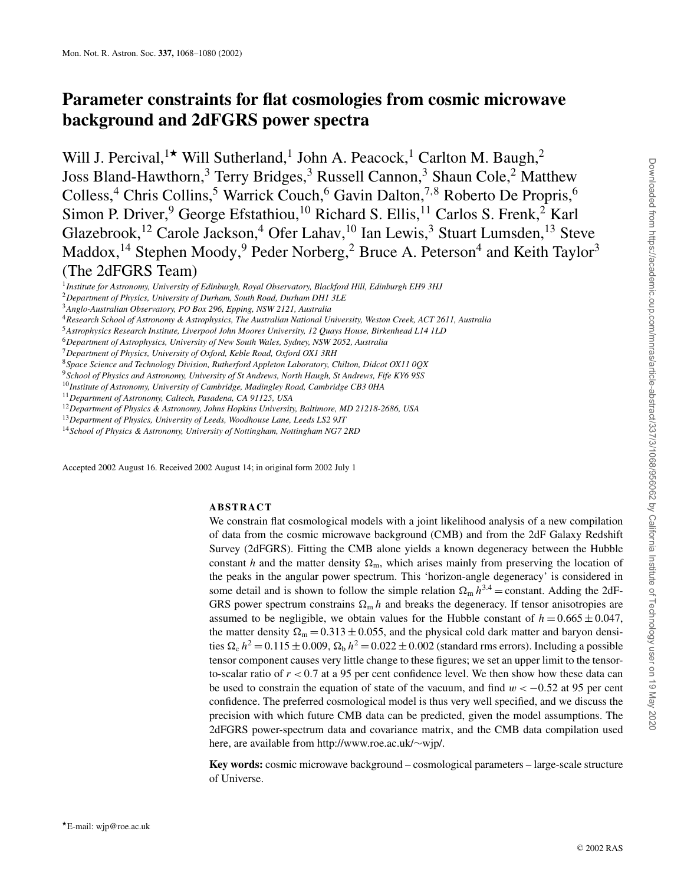# **Parameter constraints for flat cosmologies from cosmic microwave background and 2dFGRS power spectra**

Will J. Percival,<sup>1\*</sup> Will Sutherland,<sup>1</sup> John A. Peacock,<sup>1</sup> Carlton M. Baugh,<sup>2</sup> Joss Bland-Hawthorn,<sup>3</sup> Terry Bridges,<sup>3</sup> Russell Cannon,<sup>3</sup> Shaun Cole,<sup>2</sup> Matthew Colless,<sup>4</sup> Chris Collins,<sup>5</sup> Warrick Couch,<sup>6</sup> Gavin Dalton,<sup>7,8</sup> Roberto De Propris,<sup>6</sup> Simon P. Driver, <sup>9</sup> George Efstathiou, <sup>10</sup> Richard S. Ellis, <sup>11</sup> Carlos S. Frenk, <sup>2</sup> Karl Glazebrook,<sup>12</sup> Carole Jackson,<sup>4</sup> Ofer Lahav,<sup>10</sup> Ian Lewis,<sup>3</sup> Stuart Lumsden,<sup>13</sup> Steve Maddox,<sup>14</sup> Stephen Moody,<sup>9</sup> Peder Norberg,<sup>2</sup> Bruce A. Peterson<sup>4</sup> and Keith Taylor<sup>3</sup> (The 2dFGRS Team)

<sup>6</sup>*Department of Astrophysics, University of New South Wales, Sydney, NSW 2052, Australia*

<sup>9</sup>*School of Physics and Astronomy, University of St Andrews, North Haugh, St Andrews, Fife KY6 9SS*

- <sup>13</sup>*Department of Physics, University of Leeds, Woodhouse Lane, Leeds LS2 9JT*
- <sup>14</sup>*School of Physics & Astronomy, University of Nottingham, Nottingham NG7 2RD*

Accepted 2002 August 16. Received 2002 August 14; in original form 2002 July 1

## **ABSTRACT**

We constrain flat cosmological models with a joint likelihood analysis of a new compilation of data from the cosmic microwave background (CMB) and from the 2dF Galaxy Redshift Survey (2dFGRS). Fitting the CMB alone yields a known degeneracy between the Hubble constant *h* and the matter density  $\Omega_m$ , which arises mainly from preserving the location of the peaks in the angular power spectrum. This 'horizon-angle degeneracy' is considered in some detail and is shown to follow the simple relation  $\Omega_m h^{3.4} =$  constant. Adding the 2dF-GRS power spectrum constrains  $\Omega_{\rm m} h$  and breaks the degeneracy. If tensor anisotropies are assumed to be negligible, we obtain values for the Hubble constant of  $h = 0.665 \pm 0.047$ , the matter density  $\Omega_m = 0.313 \pm 0.055$ , and the physical cold dark matter and baryon densities  $\Omega_c$   $h^2 = 0.115 \pm 0.009$ ,  $\Omega_b$   $h^2 = 0.022 \pm 0.002$  (standard rms errors). Including a possible tensor component causes very little change to these figures; we set an upper limit to the tensorto-scalar ratio of *r* < 0.7 at a 95 per cent confidence level. We then show how these data can be used to constrain the equation of state of the vacuum, and find  $w < -0.52$  at 95 per cent confidence. The preferred cosmological model is thus very well specified, and we discuss the precision with which future CMB data can be predicted, given the model assumptions. The 2dFGRS power-spectrum data and covariance matrix, and the CMB data compilation used here, are available from http://www.roe.ac.uk/∼wjp/.

**Key words:** cosmic microwave background – cosmological parameters – large-scale structure of Universe.

<sup>1</sup>*Institute for Astronomy, University of Edinburgh, Royal Observatory, Blackford Hill, Edinburgh EH9 3HJ*

<sup>2</sup>*Department of Physics, University of Durham, South Road, Durham DH1 3LE*

<sup>3</sup>*Anglo-Australian Observatory, PO Box 296, Epping, NSW 2121, Australia*

<sup>4</sup>*Research School of Astronomy & Astrophysics, The Australian National University, Weston Creek, ACT 2611, Australia*

<sup>5</sup>*Astrophysics Research Institute, Liverpool John Moores University, 12 Quays House, Birkenhead L14 1LD*

<sup>7</sup>*Department of Physics, University of Oxford, Keble Road, Oxford OX1 3RH*

<sup>8</sup>*Space Science and Technology Division, Rutherford Appleton Laboratory, Chilton, Didcot OX11 0QX*

<sup>10</sup>*Institute of Astronomy, University of Cambridge, Madingley Road, Cambridge CB3 0HA*

<sup>11</sup>*Department of Astronomy, Caltech, Pasadena, CA 91125, USA*

<sup>12</sup>*Department of Physics & Astronomy, Johns Hopkins University, Baltimore, MD 21218-2686, USA*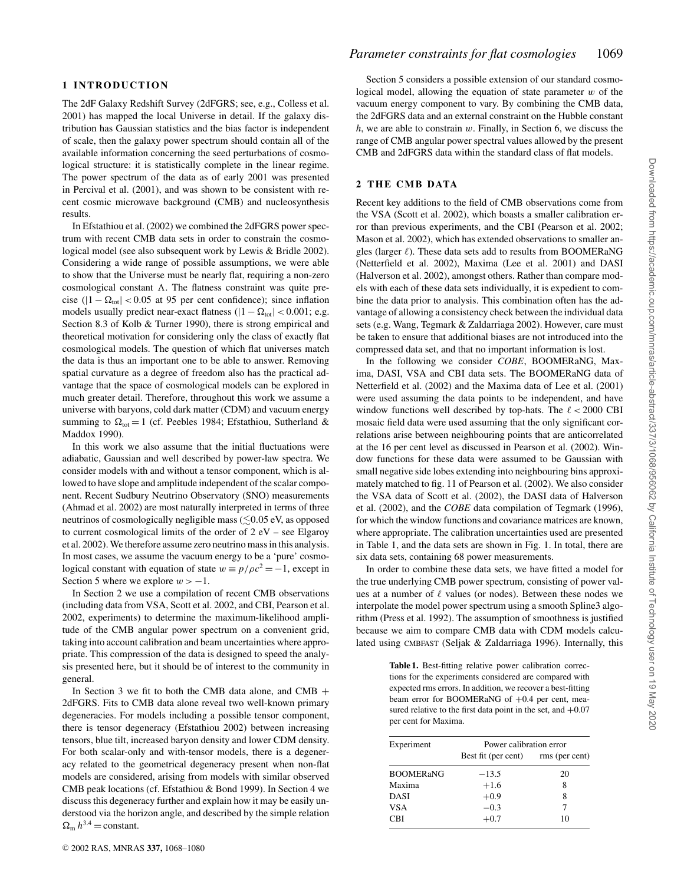# **1 INTRODUCTION**

The 2dF Galaxy Redshift Survey (2dFGRS; see, e.g., Colless et al. 2001) has mapped the local Universe in detail. If the galaxy distribution has Gaussian statistics and the bias factor is independent of scale, then the galaxy power spectrum should contain all of the available information concerning the seed perturbations of cosmological structure: it is statistically complete in the linear regime. The power spectrum of the data as of early 2001 was presented in Percival et al. (2001), and was shown to be consistent with recent cosmic microwave background (CMB) and nucleosynthesis results.

In Efstathiou et al. (2002) we combined the 2dFGRS power spectrum with recent CMB data sets in order to constrain the cosmological model (see also subsequent work by Lewis & Bridle 2002). Considering a wide range of possible assumptions, we were able to show that the Universe must be nearly flat, requiring a non-zero cosmological constant  $\Lambda$ . The flatness constraint was quite precise ( $|1 - \Omega_{\text{tot}}| < 0.05$  at 95 per cent confidence); since inflation models usually predict near-exact flatness ( $|1 - \Omega_{\text{tot}}| < 0.001$ ; e.g. Section 8.3 of Kolb & Turner 1990), there is strong empirical and theoretical motivation for considering only the class of exactly flat cosmological models. The question of which flat universes match the data is thus an important one to be able to answer. Removing spatial curvature as a degree of freedom also has the practical advantage that the space of cosmological models can be explored in much greater detail. Therefore, throughout this work we assume a universe with baryons, cold dark matter (CDM) and vacuum energy summing to  $\Omega_{\text{tot}} = 1$  (cf. Peebles 1984; Efstathiou, Sutherland & Maddox 1990).

In this work we also assume that the initial fluctuations were adiabatic, Gaussian and well described by power-law spectra. We consider models with and without a tensor component, which is allowed to have slope and amplitude independent of the scalar component. Recent Sudbury Neutrino Observatory (SNO) measurements (Ahmad et al. 2002) are most naturally interpreted in terms of three neutrinos of cosmologically negligible mass  $(\leq 0.05 \text{ eV})$ , as opposed to current cosmological limits of the order of 2 eV – see Elgaroy et al. 2002). We therefore assume zero neutrino mass in this analysis. In most cases, we assume the vacuum energy to be a 'pure' cosmological constant with equation of state  $w = p/\rho c^2 = -1$ , except in Section 5 where we explore  $w > -1$ .

In Section 2 we use a compilation of recent CMB observations (including data from VSA, Scott et al. 2002, and CBI, Pearson et al. 2002, experiments) to determine the maximum-likelihood amplitude of the CMB angular power spectrum on a convenient grid, taking into account calibration and beam uncertainties where appropriate. This compression of the data is designed to speed the analysis presented here, but it should be of interest to the community in general.

In Section 3 we fit to both the CMB data alone, and CMB + 2dFGRS. Fits to CMB data alone reveal two well-known primary degeneracies. For models including a possible tensor component, there is tensor degeneracy (Efstathiou 2002) between increasing tensors, blue tilt, increased baryon density and lower CDM density. For both scalar-only and with-tensor models, there is a degeneracy related to the geometrical degeneracy present when non-flat models are considered, arising from models with similar observed CMB peak locations (cf. Efstathiou & Bond 1999). In Section 4 we discuss this degeneracy further and explain how it may be easily understood via the horizon angle, and described by the simple relation  $\Omega_{\rm m} h^{3.4}$  = constant.

Section 5 considers a possible extension of our standard cosmological model, allowing the equation of state parameter  $w$  of the vacuum energy component to vary. By combining the CMB data, the 2dFGRS data and an external constraint on the Hubble constant *h*, we are able to constrain w. Finally, in Section 6, we discuss the range of CMB angular power spectral values allowed by the present CMB and 2dFGRS data within the standard class of flat models.

# **2 THE CMB DATA**

Recent key additions to the field of CMB observations come from the VSA (Scott et al. 2002), which boasts a smaller calibration error than previous experiments, and the CBI (Pearson et al. 2002; Mason et al. 2002), which has extended observations to smaller angles (larger  $\ell$ ). These data sets add to results from BOOMERaNG (Netterfield et al. 2002), Maxima (Lee et al. 2001) and DASI (Halverson et al. 2002), amongst others. Rather than compare models with each of these data sets individually, it is expedient to combine the data prior to analysis. This combination often has the advantage of allowing a consistency check between the individual data sets (e.g. Wang, Tegmark & Zaldarriaga 2002). However, care must be taken to ensure that additional biases are not introduced into the compressed data set, and that no important information is lost.

In the following we consider *COBE*, BOOMERaNG, Maxima, DASI, VSA and CBI data sets. The BOOMERaNG data of Netterfield et al. (2002) and the Maxima data of Lee et al. (2001) were used assuming the data points to be independent, and have window functions well described by top-hats. The  $\ell < 2000$  CBI mosaic field data were used assuming that the only significant correlations arise between neighbouring points that are anticorrelated at the 16 per cent level as discussed in Pearson et al. (2002). Window functions for these data were assumed to be Gaussian with small negative side lobes extending into neighbouring bins approximately matched to fig. 11 of Pearson et al. (2002). We also consider the VSA data of Scott et al. (2002), the DASI data of Halverson et al. (2002), and the *COBE* data compilation of Tegmark (1996), for which the window functions and covariance matrices are known, where appropriate. The calibration uncertainties used are presented in Table 1, and the data sets are shown in Fig. 1. In total, there are six data sets, containing 68 power measurements.

In order to combine these data sets, we have fitted a model for the true underlying CMB power spectrum, consisting of power values at a number of  $\ell$  values (or nodes). Between these nodes we interpolate the model power spectrum using a smooth Spline3 algorithm (Press et al. 1992). The assumption of smoothness is justified because we aim to compare CMB data with CDM models calculated using CMBFAST (Seljak & Zaldarriaga 1996). Internally, this

> **Table 1.** Best-fitting relative power calibration corrections for the experiments considered are compared with expected rms errors. In addition, we recover a best-fitting beam error for BOOMERaNG of +0.4 per cent, measured relative to the first data point in the set, and  $+0.07$ per cent for Maxima.

| Experiment       | Power calibration error |                |  |
|------------------|-------------------------|----------------|--|
|                  | Best fit (per cent)     | rms (per cent) |  |
| <b>BOOMERaNG</b> | $-13.5$                 | 20             |  |
| Maxima           | $+1.6$                  | 8              |  |
| <b>DASI</b>      | $+0.9$                  | 8              |  |
| <b>VSA</b>       | $-0.3$                  |                |  |
| CBI              | $+0.7$                  | 10             |  |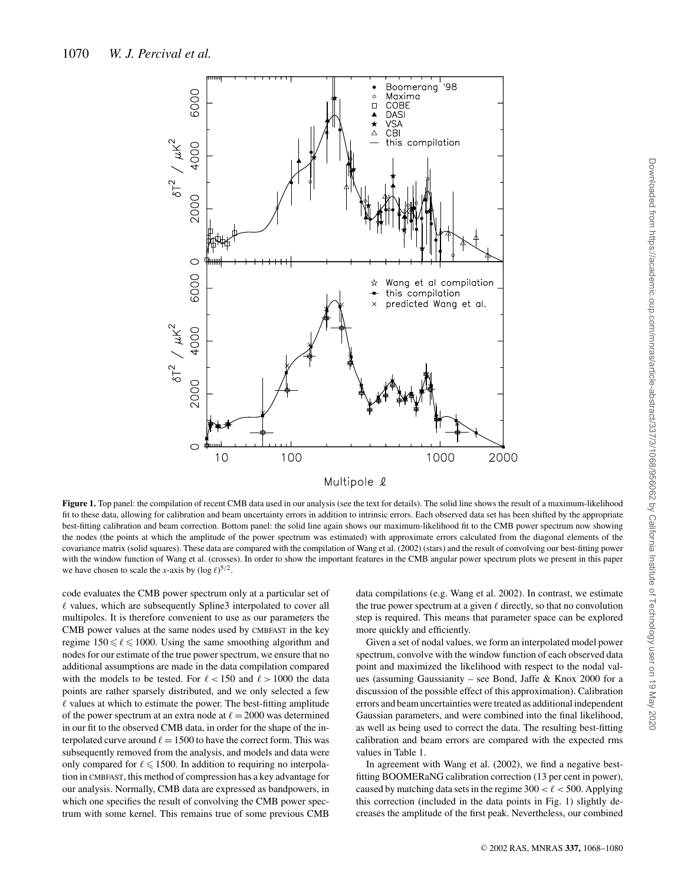

**Figure 1.** Top panel: the compilation of recent CMB data used in our analysis (see the text for details). The solid line shows the result of a maximum-likelihood fit to these data, allowing for calibration and beam uncertainty errors in addition to intrinsic errors. Each observed data set has been shifted by the appropriate best-fitting calibration and beam correction. Bottom panel: the solid line again shows our maximum-likelihood fit to the CMB power spectrum now showing the nodes (the points at which the amplitude of the power spectrum was estimated) with approximate errors calculated from the diagonal elements of the covariance matrix (solid squares). These data are compared with the compilation of Wang et al. (2002) (stars) and the result of convolving our best-fitting power with the window function of Wang et al. (crosses). In order to show the important features in the CMB angular power spectrum plots we present in this paper we have chosen to scale the *x*-axis by  $(\log \ell)^{5/2}$ .

code evaluates the CMB power spectrum only at a particular set of  $\ell$  values, which are subsequently Spline3 interpolated to cover all multipoles. It is therefore convenient to use as our parameters the CMB power values at the same nodes used by CMBFAST in the key regime  $150 \le \ell \le 1000$ . Using the same smoothing algorithm and nodes for our estimate of the true power spectrum, we ensure that no additional assumptions are made in the data compilation compared with the models to be tested. For  $\ell < 150$  and  $\ell > 1000$  the data points are rather sparsely distributed, and we only selected a few  $\ell$  values at which to estimate the power. The best-fitting amplitude of the power spectrum at an extra node at  $\ell = 2000$  was determined in our fit to the observed CMB data, in order for the shape of the interpolated curve around  $\ell = 1500$  to have the correct form. This was subsequently removed from the analysis, and models and data were only compared for  $\ell \leq 1500$ . In addition to requiring no interpolation in CMBFAST, this method of compression has a key advantage for our analysis. Normally, CMB data are expressed as bandpowers, in which one specifies the result of convolving the CMB power spectrum with some kernel. This remains true of some previous CMB

data compilations (e.g. Wang et al. 2002). In contrast, we estimate the true power spectrum at a given  $\ell$  directly, so that no convolution step is required. This means that parameter space can be explored more quickly and efficiently.

Given a set of nodal values, we form an interpolated model power spectrum, convolve with the window function of each observed data point and maximized the likelihood with respect to the nodal values (assuming Gaussianity – see Bond, Jaffe & Knox 2000 for a discussion of the possible effect of this approximation). Calibration errors and beam uncertainties were treated as additional independent Gaussian parameters, and were combined into the final likelihood, as well as being used to correct the data. The resulting best-fitting calibration and beam errors are compared with the expected rms values in Table 1.

In agreement with Wang et al. (2002), we find a negative bestfitting BOOMERaNG calibration correction (13 per cent in power), caused by matching data sets in the regime  $300 < \ell < 500$ . Applying this correction (included in the data points in Fig. 1) slightly decreases the amplitude of the first peak. Nevertheless, our combined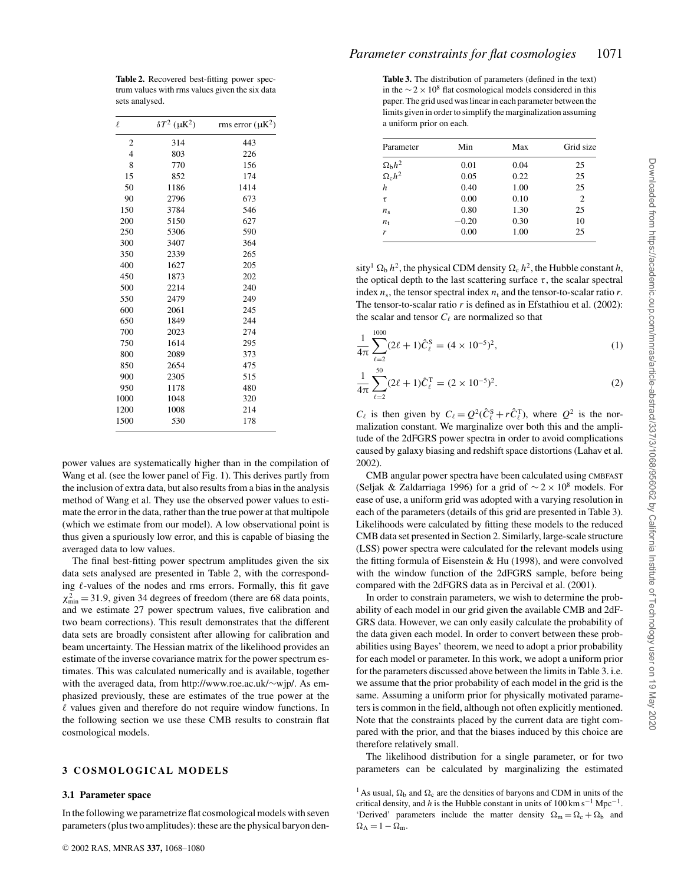| $\ell$ | $\delta T^2$ ( $\mu$ K <sup>2</sup> ) | rms error $(\mu K^2)$ |
|--------|---------------------------------------|-----------------------|
| 2      | 314                                   | 443                   |
| 4      | 803                                   | 226                   |
| 8      | 770                                   | 156                   |
| 15     | 852                                   | 174                   |
| 50     | 1186                                  | 1414                  |
| 90     | 2796                                  | 673                   |
| 150    | 3784                                  | 546                   |
| 200    | 5150                                  | 627                   |
| 250    | 5306                                  | 590                   |
| 300    | 3407                                  | 364                   |
| 350    | 2339                                  | 265                   |
| 400    | 1627                                  | 205                   |
| 450    | 1873                                  | 202                   |
| 500    | 2214                                  | 240                   |
| 550    | 2479                                  | 249                   |
| 600    | 2061                                  | 245                   |
| 650    | 1849                                  | 244                   |
| 700    | 2023                                  | 274                   |
| 750    | 1614                                  | 295                   |
| 800    | 2089                                  | 373                   |
| 850    | 2654                                  | 475                   |
| 900    | 2305                                  | 515                   |
| 950    | 1178                                  | 480                   |
| 1000   | 1048                                  | 320                   |
| 1200   | 1008                                  | 214                   |
| 1500   | 530                                   | 178                   |

power values are systematically higher than in the compilation of Wang et al. (see the lower panel of Fig. 1). This derives partly from the inclusion of extra data, but also results from a bias in the analysis method of Wang et al. They use the observed power values to estimate the error in the data, rather than the true power at that multipole (which we estimate from our model). A low observational point is thus given a spuriously low error, and this is capable of biasing the averaged data to low values.

The final best-fitting power spectrum amplitudes given the six data sets analysed are presented in Table 2, with the corresponding  $\ell$ -values of the nodes and rms errors. Formally, this fit gave  $\chi^2_{\text{min}} = 31.9$ , given 34 degrees of freedom (there are 68 data points, and we estimate 27 power spectrum values, five calibration and two beam corrections). This result demonstrates that the different data sets are broadly consistent after allowing for calibration and beam uncertainty. The Hessian matrix of the likelihood provides an estimate of the inverse covariance matrix for the power spectrum estimates. This was calculated numerically and is available, together with the averaged data, from http://www.roe.ac.uk/∼wjp/. As emphasized previously, these are estimates of the true power at the  $\ell$  values given and therefore do not require window functions. In the following section we use these CMB results to constrain flat cosmological models.

# **3 COSMOLOGICAL MODELS**

#### **3.1 Parameter space**

In the following we parametrize flat cosmological models with seven parameters (plus two amplitudes): these are the physical baryon den-

**Table 3.** The distribution of parameters (defined in the text) in the  $\sim$  2 × 10<sup>8</sup> flat cosmological models considered in this paper. The grid used was linear in each parameter between the limits given in order to simplify the marginalization assuming a uniform prior on each.

| Parameter                                     | Min     | Max  | Grid size      |
|-----------------------------------------------|---------|------|----------------|
|                                               | 0.01    | 0.04 | 25             |
| $\Omega_{\rm b} h^2 \over \Omega_{\rm c} h^2$ | 0.05    | 0.22 | 25             |
| h                                             | 0.40    | 1.00 | 25             |
| τ                                             | 0.00    | 0.10 | $\overline{c}$ |
| $n_{\rm s}$                                   | 0.80    | 1.30 | 25             |
| $n_{\rm t}$                                   | $-0.20$ | 0.30 | 10             |
| r                                             | 0.00    | 1.00 | 25             |
|                                               |         |      |                |

sity<sup>1</sup>  $\Omega_b$  *h*<sup>2</sup>, the physical CDM density  $\Omega_c$  *h*<sup>2</sup>, the Hubble constant *h*, the optical depth to the last scattering surface  $\tau$ , the scalar spectral index  $n_s$ , the tensor spectral index  $n_t$  and the tensor-to-scalar ratio  $r$ . The tensor-to-scalar ratio *r* is defined as in Efstathiou et al. (2002): the scalar and tensor  $C_{\ell}$  are normalized so that

$$
\frac{1}{4\pi} \sum_{\ell=2}^{1000} (2\ell+1)\hat{C}_{\ell}^{S} = (4 \times 10^{-5})^2,\tag{1}
$$

$$
\frac{1}{4\pi} \sum_{\ell=2}^{50} (2\ell+1)\hat{C}_{\ell}^{T} = (2 \times 10^{-5})^{2}.
$$
 (2)

 $C_{\ell}$  is then given by  $C_{\ell} = Q^2(\hat{C}_{\ell}^S + r\hat{C}_{\ell}^T)$ , where  $Q^2$  is the normalization constant. We marginalize over both this and the amplitude of the 2dFGRS power spectra in order to avoid complications caused by galaxy biasing and redshift space distortions (Lahav et al. 2002).

CMB angular power spectra have been calculated using CMBFAST (Seljak & Zaldarriaga 1996) for a grid of  $\sim$  2 × 10<sup>8</sup> models. For ease of use, a uniform grid was adopted with a varying resolution in each of the parameters (details of this grid are presented in Table 3). Likelihoods were calculated by fitting these models to the reduced CMB data set presented in Section 2. Similarly, large-scale structure (LSS) power spectra were calculated for the relevant models using the fitting formula of Eisenstein & Hu (1998), and were convolved with the window function of the 2dFGRS sample, before being compared with the 2dFGRS data as in Percival et al. (2001).

In order to constrain parameters, we wish to determine the probability of each model in our grid given the available CMB and 2dF-GRS data. However, we can only easily calculate the probability of the data given each model. In order to convert between these probabilities using Bayes' theorem, we need to adopt a prior probability for each model or parameter. In this work, we adopt a uniform prior for the parameters discussed above between the limits in Table 3. i.e. we assume that the prior probability of each model in the grid is the same. Assuming a uniform prior for physically motivated parameters is common in the field, although not often explicitly mentioned. Note that the constraints placed by the current data are tight compared with the prior, and that the biases induced by this choice are therefore relatively small.

The likelihood distribution for a single parameter, or for two parameters can be calculated by marginalizing the estimated

<sup>1</sup> As usual,  $\Omega_b$  and  $\Omega_c$  are the densities of baryons and CDM in units of the critical density, and *h* is the Hubble constant in units of  $100 \text{ km s}^{-1} \text{ Mpc}^{-1}$ . 'Derived' parameters include the matter density  $\Omega_m = \Omega_c + \Omega_b$  and  $\Omega_{\Lambda} = 1 - \Omega_{\rm m}$ .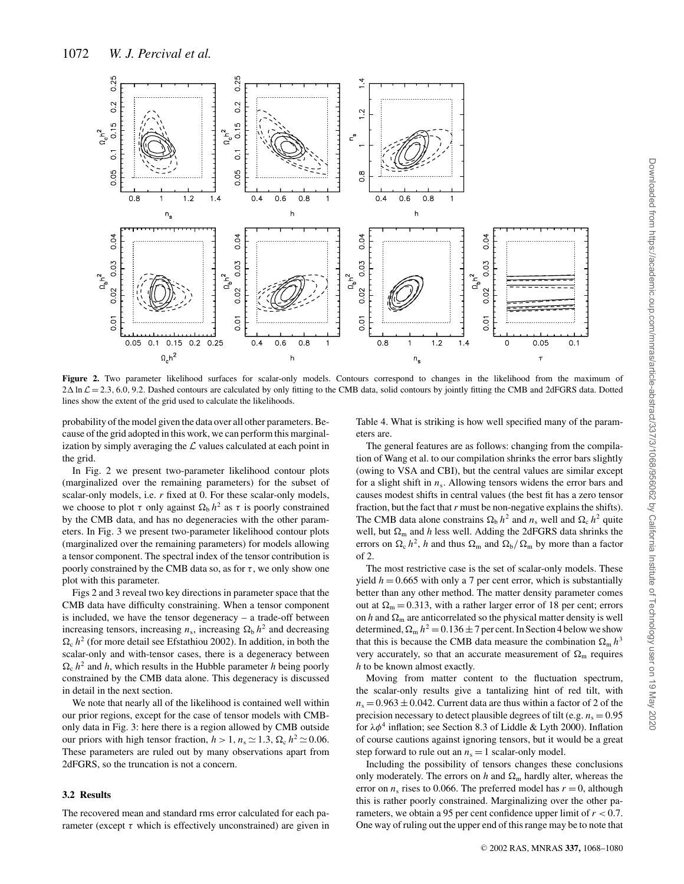

**Figure 2.** Two parameter likelihood surfaces for scalar-only models. Contours correspond to changes in the likelihood from the maximum of  $2\Delta \ln \mathcal{L} = 2.3, 6.0, 9.2$ . Dashed contours are calculated by only fitting to the CMB data, solid contours by jointly fitting the CMB and 2dFGRS data. Dotted lines show the extent of the grid used to calculate the likelihoods.

probability of the model given the data over all other parameters. Because of the grid adopted in this work, we can perform this marginalization by simply averaging the  $\mathcal L$  values calculated at each point in the grid.

In Fig. 2 we present two-parameter likelihood contour plots (marginalized over the remaining parameters) for the subset of scalar-only models, i.e. *r* fixed at 0. For these scalar-only models, we choose to plot  $\tau$  only against  $\Omega_b$  *h*<sup>2</sup> as  $\tau$  is poorly constrained by the CMB data, and has no degeneracies with the other parameters. In Fig. 3 we present two-parameter likelihood contour plots (marginalized over the remaining parameters) for models allowing a tensor component. The spectral index of the tensor contribution is poorly constrained by the CMB data so, as for  $\tau$ , we only show one plot with this parameter.

Figs 2 and 3 reveal two key directions in parameter space that the CMB data have difficulty constraining. When a tensor component is included, we have the tensor degeneracy – a trade-off between increasing tensors, increasing  $n_s$ , increasing  $\Omega_b h^2$  and decreasing  $\Omega_c$  *h*<sup>2</sup> (for more detail see Efstathiou 2002). In addition, in both the scalar-only and with-tensor cases, there is a degeneracy between  $\Omega_c$   $h^2$  and *h*, which results in the Hubble parameter *h* being poorly constrained by the CMB data alone. This degeneracy is discussed in detail in the next section.

We note that nearly all of the likelihood is contained well within our prior regions, except for the case of tensor models with CMBonly data in Fig. 3: here there is a region allowed by CMB outside our priors with high tensor fraction,  $h > 1$ ,  $n_s \approx 1.3$ ,  $\Omega_c h^2 \approx 0.06$ . These parameters are ruled out by many observations apart from 2dFGRS, so the truncation is not a concern.

## **3.2 Results**

The recovered mean and standard rms error calculated for each parameter (except  $\tau$  which is effectively unconstrained) are given in Table 4. What is striking is how well specified many of the parameters are.

The general features are as follows: changing from the compilation of Wang et al. to our compilation shrinks the error bars slightly (owing to VSA and CBI), but the central values are similar except for a slight shift in  $n_s$ . Allowing tensors widens the error bars and causes modest shifts in central values (the best fit has a zero tensor fraction, but the fact that*r* must be non-negative explains the shifts). The CMB data alone constrains  $\Omega_b h^2$  and  $n_s$  well and  $\Omega_c h^2$  quite well, but  $\Omega_m$  and *h* less well. Adding the 2dFGRS data shrinks the errors on  $\Omega_c h^2$ , *h* and thus  $\Omega_m$  and  $\Omega_b/\Omega_m$  by more than a factor of 2.

The most restrictive case is the set of scalar-only models. These yield  $h = 0.665$  with only a 7 per cent error, which is substantially better than any other method. The matter density parameter comes out at  $\Omega_m = 0.313$ , with a rather larger error of 18 per cent; errors on *h* and  $\Omega_m$  are anticorrelated so the physical matter density is well determined,  $\Omega_{\rm m} h^2 = 0.136 \pm 7$  per cent. In Section 4 below we show that this is because the CMB data measure the combination  $\Omega_{\rm m} h^3$ very accurately, so that an accurate measurement of  $\Omega_{\rm m}$  requires *h* to be known almost exactly.

Moving from matter content to the fluctuation spectrum, the scalar-only results give a tantalizing hint of red tilt, with  $n_s = 0.963 \pm 0.042$ . Current data are thus within a factor of 2 of the precision necessary to detect plausible degrees of tilt (e.g.  $n_s = 0.95$ ) for  $\lambda \phi^4$  inflation; see Section 8.3 of Liddle & Lyth 2000). Inflation of course cautions against ignoring tensors, but it would be a great step forward to rule out an  $n_s = 1$  scalar-only model.

Including the possibility of tensors changes these conclusions only moderately. The errors on *h* and  $\Omega_{\rm m}$  hardly alter, whereas the error on  $n_s$  rises to 0.066. The preferred model has  $r = 0$ , although this is rather poorly constrained. Marginalizing over the other parameters, we obtain a 95 per cent confidence upper limit of *r* < 0.7. One way of ruling out the upper end of this range may be to note that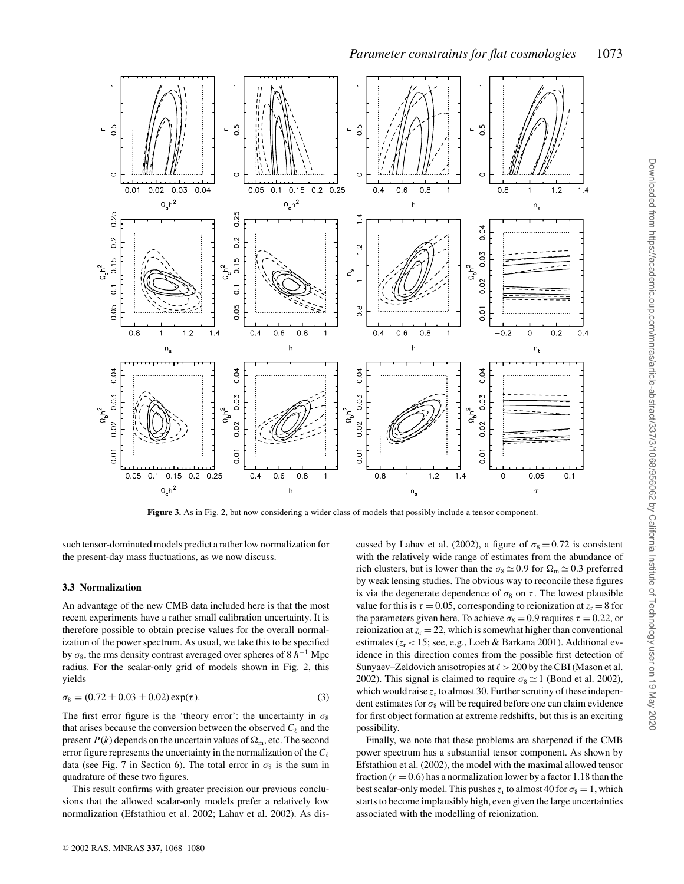

 $0.25$  $0<sub>2</sub>$  $0.15$  $h^2$  $\overline{C}$ 0.05  $0.8$  $1.2$  $0.4$  $0.4$  $0.6$  $0.4$  $0.6$  $0.8$  $0.8$  $-0.2$  $0.2$  $1.4$  $\Omega$  $\mathsf{h}$  $\overline{h}$  $n_{\rm s}$  $n_t$  $0.04$ 0.04 0.04  $0.04$  $0.03$ 0.03 0.03 0.03  $\Omega_b h^2$  $n_hh^2$  $\Omega_{\rm h}h^2$  $0.02$ 0.02 0.02 0.02  $\overline{0}$  $0.01$  $0.01$  $\overline{0}$  $0.4$  $0.6$  $0.8$  $0.05$  0.1 0.15  $0.2$  $0.25$  $0.8$  $1.2$  $0.1$ 1 1  $1.4$  $\overline{0}$  $0.05$  $\Omega_c h^2$  $\mathsf{h}$  $n_{\rm s}$  $\tau$ 

**Figure 3.** As in Fig. 2, but now considering a wider class of models that possibly include a tensor component.

such tensor-dominated models predict a rather low normalization for the present-day mass fluctuations, as we now discuss.

#### **3.3 Normalization**

 $-5$ 

 $0.01$ 

An advantage of the new CMB data included here is that the most recent experiments have a rather small calibration uncertainty. It is therefore possible to obtain precise values for the overall normalization of the power spectrum. As usual, we take this to be specified by  $\sigma_8$ , the rms density contrast averaged over spheres of 8 *h*<sup>−1</sup> Mpc radius. For the scalar-only grid of models shown in Fig. 2, this yields

$$
\sigma_8 = (0.72 \pm 0.03 \pm 0.02) \exp(\tau). \tag{3}
$$

The first error figure is the 'theory error': the uncertainty in  $\sigma_8$ that arises because the conversion between the observed  $C_{\ell}$  and the present  $P(k)$  depends on the uncertain values of  $\Omega_{m}$ , etc. The second error figure represents the uncertainty in the normalization of the  $C_{\ell}$ data (see Fig. 7 in Section 6). The total error in  $\sigma_8$  is the sum in quadrature of these two figures.

This result confirms with greater precision our previous conclusions that the allowed scalar-only models prefer a relatively low normalization (Efstathiou et al. 2002; Lahav et al. 2002). As discussed by Lahav et al. (2002), a figure of  $\sigma_8 = 0.72$  is consistent with the relatively wide range of estimates from the abundance of rich clusters, but is lower than the  $\sigma_8 \simeq 0.9$  for  $\Omega_m \simeq 0.3$  preferred by weak lensing studies. The obvious way to reconcile these figures is via the degenerate dependence of  $\sigma_8$  on  $\tau$ . The lowest plausible value for this is  $\tau = 0.05$ , corresponding to reionization at  $z_r = 8$  for the parameters given here. To achieve  $\sigma_8 = 0.9$  requires  $\tau = 0.22$ , or reionization at  $z_r = 22$ , which is somewhat higher than conventional estimates (*z*<sup>r</sup> < 15; see, e.g., Loeb & Barkana 2001). Additional evidence in this direction comes from the possible first detection of Sunyaev–Zeldovich anisotropies at  $\ell > 200$  by the CBI (Mason et al. 2002). This signal is claimed to require  $\sigma_8 \simeq 1$  (Bond et al. 2002), which would raise  $z_r$  to almost 30. Further scrutiny of these independent estimates for  $\sigma_8$  will be required before one can claim evidence for first object formation at extreme redshifts, but this is an exciting possibility.

Finally, we note that these problems are sharpened if the CMB power spectrum has a substantial tensor component. As shown by Efstathiou et al. (2002), the model with the maximal allowed tensor fraction  $(r = 0.6)$  has a normalization lower by a factor 1.18 than the best scalar-only model. This pushes  $z_r$  to almost 40 for  $\sigma_8 = 1$ , which starts to become implausibly high, even given the large uncertainties associated with the modelling of reionization.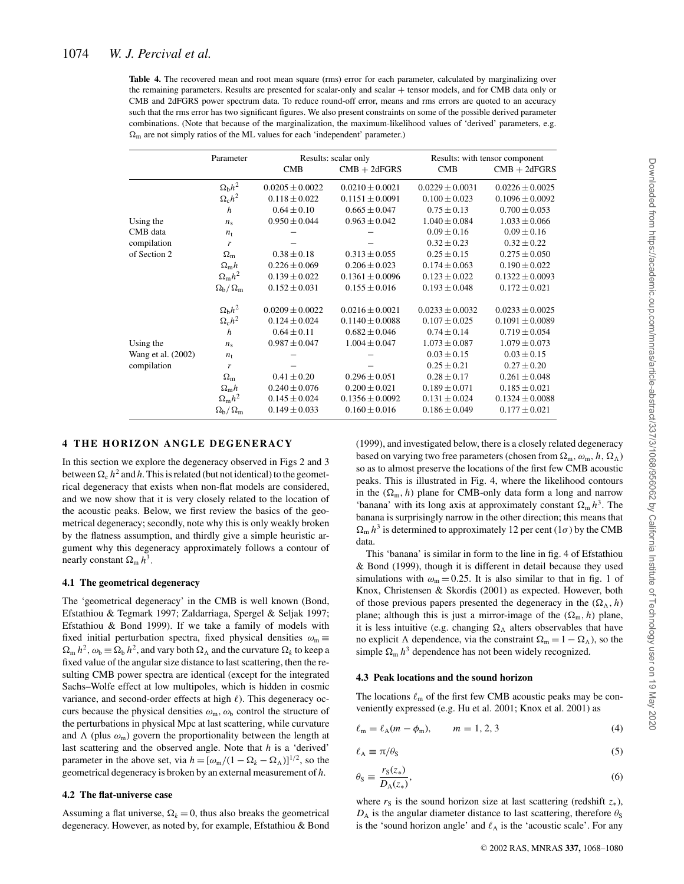**Table 4.** The recovered mean and root mean square (rms) error for each parameter, calculated by marginalizing over the remaining parameters. Results are presented for scalar-only and scalar + tensor models, and for CMB data only or CMB and 2dFGRS power spectrum data. To reduce round-off error, means and rms errors are quoted to an accuracy such that the rms error has two significant figures. We also present constraints on some of the possible derived parameter combinations. (Note that because of the marginalization, the maximum-likelihood values of 'derived' parameters, e.g.  $\Omega_{\rm m}$  are not simply ratios of the ML values for each 'independent' parameter.)

|                    | Parameter                       | Results: scalar only |                     | Results: with tensor component |                     |
|--------------------|---------------------------------|----------------------|---------------------|--------------------------------|---------------------|
|                    |                                 | <b>CMB</b>           | $CMB + 2dFGRS$      | <b>CMB</b>                     | $CMB + 2dFGRS$      |
|                    | $\Omega_{\rm b}h^2$             | $0.0205 \pm 0.0022$  | $0.0210 \pm 0.0021$ | $0.0229 \pm 0.0031$            | $0.0226 \pm 0.0025$ |
|                    | $\Omega_c h^2$                  | $0.118 \pm 0.022$    | $0.1151 \pm 0.0091$ | $0.100 \pm 0.023$              | $0.1096 \pm 0.0092$ |
|                    | $\boldsymbol{h}$                | $0.64 \pm 0.10$      | $0.665 \pm 0.047$   | $0.75 \pm 0.13$                | $0.700 \pm 0.053$   |
| Using the          | $n_{\rm s}$                     | $0.950 \pm 0.044$    | $0.963 \pm 0.042$   | $1.040 \pm 0.084$              | $1.033 \pm 0.066$   |
| CMB data           | $n_{t}$                         |                      |                     | $0.09 \pm 0.16$                | $0.09 \pm 0.16$     |
| compilation        | r                               |                      |                     | $0.32 \pm 0.23$                | $0.32 \pm 0.22$     |
| of Section 2       | $\Omega_{\rm m}$                | $0.38 \pm 0.18$      | $0.313 \pm 0.055$   | $0.25 \pm 0.15$                | $0.275 \pm 0.050$   |
|                    | $\Omega_{\rm m}h$               | $0.226 \pm 0.069$    | $0.206 \pm 0.023$   | $0.174 \pm 0.063$              | $0.190 \pm 0.022$   |
|                    | $\Omega_{\rm m}h^2$             | $0.139 \pm 0.022$    | $0.1361 \pm 0.0096$ | $0.123 \pm 0.022$              | $0.1322 \pm 0.0093$ |
|                    | $\Omega_{\rm h}/\Omega_{\rm m}$ | $0.152 \pm 0.031$    | $0.155 \pm 0.016$   | $0.193 \pm 0.048$              | $0.172 \pm 0.021$   |
|                    | $\Omega_{\rm b}h^2$             | $0.0209 \pm 0.0022$  | $0.0216 \pm 0.0021$ | $0.0233 \pm 0.0032$            | $0.0233 \pm 0.0025$ |
|                    | $\Omega_{\rm c}h^2$             | $0.124 \pm 0.024$    | $0.1140 \pm 0.0088$ | $0.107 \pm 0.025$              | $0.1091 \pm 0.0089$ |
|                    | $\boldsymbol{h}$                | $0.64 \pm 0.11$      | $0.682 \pm 0.046$   | $0.74 \pm 0.14$                | $0.719 \pm 0.054$   |
| Using the          | $n_{\rm s}$                     | $0.987 \pm 0.047$    | $1.004 \pm 0.047$   | $1.073 \pm 0.087$              | $1.079 \pm 0.073$   |
| Wang et al. (2002) | $n_{\rm t}$                     |                      |                     | $0.03 \pm 0.15$                | $0.03 \pm 0.15$     |
| compilation        | r                               |                      |                     | $0.25 \pm 0.21$                | $0.27 \pm 0.20$     |
|                    | $\Omega_{\rm m}$                | $0.41 \pm 0.20$      | $0.296 \pm 0.051$   | $0.28 \pm 0.17$                | $0.261 \pm 0.048$   |
|                    | $\Omega_{\rm m}h$               | $0.240 \pm 0.076$    | $0.200 \pm 0.021$   | $0.189 \pm 0.071$              | $0.185 \pm 0.021$   |
|                    | $\Omega_{\rm m}h^2$             | $0.145 \pm 0.024$    | $0.1356 \pm 0.0092$ | $0.131 \pm 0.024$              | $0.1324 \pm 0.0088$ |
|                    | $\Omega_{\rm b}/\Omega_{\rm m}$ | $0.149 \pm 0.033$    | $0.160 \pm 0.016$   | $0.186 \pm 0.049$              | $0.177 \pm 0.021$   |

# **4 THE HORIZON ANGLE DEGENERACY**

In this section we explore the degeneracy observed in Figs 2 and 3 between  $\Omega_c$   $h^2$  and *h*. This is related (but not identical) to the geometrical degeneracy that exists when non-flat models are considered, and we now show that it is very closely related to the location of the acoustic peaks. Below, we first review the basics of the geometrical degeneracy; secondly, note why this is only weakly broken by the flatness assumption, and thirdly give a simple heuristic argument why this degeneracy approximately follows a contour of nearly constant  $\Omega_{\rm m} h^3$ .

# **4.1 The geometrical degeneracy**

The 'geometrical degeneracy' in the CMB is well known (Bond, Efstathiou & Tegmark 1997; Zaldarriaga, Spergel & Seljak 1997; Efstathiou & Bond 1999). If we take a family of models with fixed initial perturbation spectra, fixed physical densities  $\omega_m \equiv$  $\Omega_m$   $h^2$ ,  $\omega_b \equiv \Omega_b h^2$ , and vary both  $\Omega_\Lambda$  and the curvature  $\Omega_k$  to keep a fixed value of the angular size distance to last scattering, then the resulting CMB power spectra are identical (except for the integrated Sachs–Wolfe effect at low multipoles, which is hidden in cosmic variance, and second-order effects at high  $\ell$ ). This degeneracy occurs because the physical densities  $\omega_{m}$ ,  $\omega_{b}$  control the structure of the perturbations in physical Mpc at last scattering, while curvature and  $\Lambda$  (plus  $\omega_m$ ) govern the proportionality between the length at last scattering and the observed angle. Note that *h* is a 'derived' parameter in the above set, via  $h = [\omega_{m}/(1 - \Omega_{k} - \Omega_{\Lambda})]^{1/2}$ , so the geometrical degeneracy is broken by an external measurement of *h*.

# **4.2 The flat-universe case**

Assuming a flat universe,  $\Omega_k = 0$ , thus also breaks the geometrical degeneracy. However, as noted by, for example, Efstathiou & Bond (1999), and investigated below, there is a closely related degeneracy based on varying two free parameters (chosen from  $\Omega_m$ ,  $\omega_m$ ,  $h$ ,  $\Omega_\Lambda$ ) so as to almost preserve the locations of the first few CMB acoustic peaks. This is illustrated in Fig. 4, where the likelihood contours in the  $(\Omega_m, h)$  plane for CMB-only data form a long and narrow 'banana' with its long axis at approximately constant  $\Omega_{\rm m} h^3$ . The banana is surprisingly narrow in the other direction; this means that  $\Omega_{\rm m} h^3$  is determined to approximately 12 per cent (1 $\sigma$ ) by the CMB data.

This 'banana' is similar in form to the line in fig. 4 of Efstathiou & Bond (1999), though it is different in detail because they used simulations with  $\omega_m = 0.25$ . It is also similar to that in fig. 1 of Knox, Christensen & Skordis (2001) as expected. However, both of those previous papers presented the degeneracy in the  $(\Omega_{\Lambda}, h)$ plane; although this is just a mirror-image of the  $(\Omega_m, h)$  plane, it is less intuitive (e.g. changing  $\Omega_{\Lambda}$  alters observables that have no explicit  $\Lambda$  dependence, via the constraint  $\Omega_m = 1 - \Omega_{\Lambda}$ , so the simple  $\Omega_{\rm m} h^3$  dependence has not been widely recognized.

#### **4.3 Peak locations and the sound horizon**

The locations  $\ell_{\rm m}$  of the first few CMB acoustic peaks may be conveniently expressed (e.g. Hu et al. 2001; Knox et al. 2001) as

$$
\ell_{\rm m} = \ell_{\rm A}(m - \phi_{\rm m}), \qquad m = 1, 2, 3 \tag{4}
$$

$$
\ell_{A} \equiv \pi/\theta_{S} \tag{5}
$$

$$
\theta_{\rm S} \equiv \frac{r_{\rm S}(z_*)}{D_{\rm A}(z_*)},\tag{6}
$$

where  $r_S$  is the sound horizon size at last scattering (redshift  $z_*$ ),  $D_A$  is the angular diameter distance to last scattering, therefore  $\theta_S$ is the 'sound horizon angle' and  $\ell_A$  is the 'acoustic scale'. For any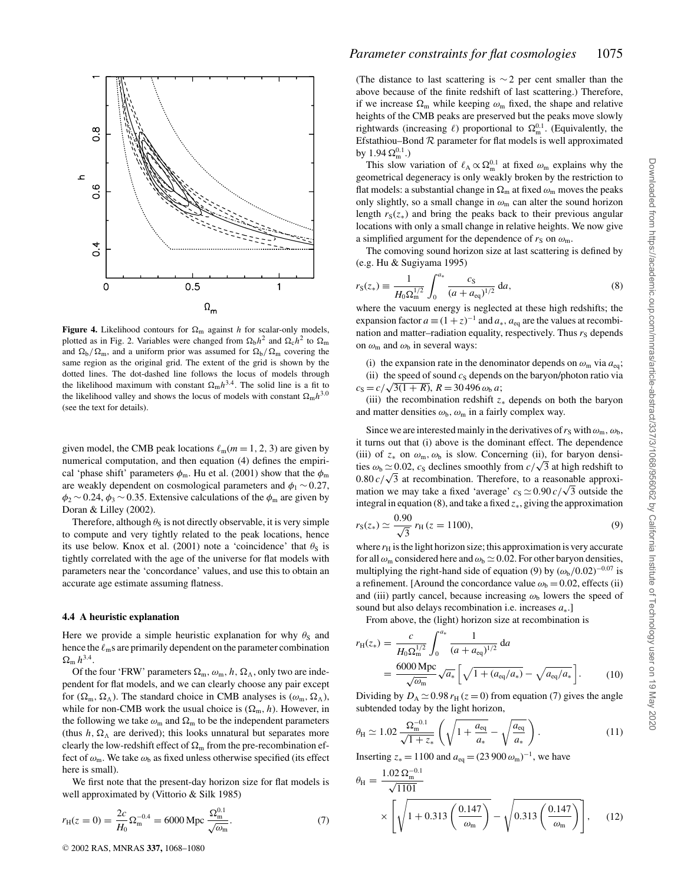

**Figure 4.** Likelihood contours for  $\Omega_m$  against *h* for scalar-only models, plotted as in Fig. 2. Variables were changed from  $\Omega_b h^2$  and  $\Omega_c h^2$  to  $\Omega_m$ and  $\Omega_{\rm b}/\Omega_{\rm m}$ , and a uniform prior was assumed for  $\Omega_{\rm b}/\Omega_{\rm m}$  covering the same region as the original grid. The extent of the grid is shown by the dotted lines. The dot-dashed line follows the locus of models through the likelihood maximum with constant  $\Omega_{\rm m}h^{3.4}$ . The solid line is a fit to the likelihood valley and shows the locus of models with constant  $\Omega_m h^{3.0}$ (see the text for details).

given model, the CMB peak locations  $\ell_m(m = 1, 2, 3)$  are given by numerical computation, and then equation (4) defines the empirical 'phase shift' parameters  $\phi_m$ . Hu et al. (2001) show that the  $\phi_m$ are weakly dependent on cosmological parameters and  $\phi_1 \sim 0.27$ ,  $\phi_2$  ~ 0.24,  $\phi_3$  ~ 0.35. Extensive calculations of the  $\phi_m$  are given by Doran & Lilley (2002).

Therefore, although  $\theta_s$  is not directly observable, it is very simple to compute and very tightly related to the peak locations, hence its use below. Knox et al. (2001) note a 'coincidence' that  $\theta_s$  is tightly correlated with the age of the universe for flat models with parameters near the 'concordance' values, and use this to obtain an accurate age estimate assuming flatness.

#### **4.4 A heuristic explanation**

Here we provide a simple heuristic explanation for why  $\theta_s$  and hence the  $\ell_{\rm m}$ s are primarily dependent on the parameter combination  $\Omega_{\rm m} h^{3.4}$ .

Of the four 'FRW' parameters  $\Omega_m$ ,  $\omega_m$ ,  $h$ ,  $\Omega_{\Lambda}$ , only two are independent for flat models, and we can clearly choose any pair except for  $(\Omega_m, \Omega_\Lambda)$ . The standard choice in CMB analyses is  $(\omega_m, \Omega_\Lambda)$ , while for non-CMB work the usual choice is  $(\Omega_m, h)$ . However, in the following we take  $\omega_m$  and  $\Omega_m$  to be the independent parameters (thus  $h, \Omega_{\Lambda}$  are derived); this looks unnatural but separates more clearly the low-redshift effect of  $\Omega_{\rm m}$  from the pre-recombination effect of  $\omega_{\rm m}$ . We take  $\omega_{\rm b}$  as fixed unless otherwise specified (its effect here is small).

We first note that the present-day horizon size for flat models is well approximated by (Vittorio & Silk 1985)

$$
r_{\rm H}(z=0) = \frac{2c}{H_0} \Omega_{\rm m}^{-0.4} = 6000 \, \text{Mpc} \, \frac{\Omega_{\rm m}^{0.1}}{\sqrt{\omega_{\rm m}}}.\tag{7}
$$

(The distance to last scattering is  $\sim$  2 per cent smaller than the above because of the finite redshift of last scattering.) Therefore, if we increase  $\Omega_{\rm m}$  while keeping  $\omega_{\rm m}$  fixed, the shape and relative heights of the CMB peaks are preserved but the peaks move slowly rightwards (increasing  $\ell$ ) proportional to  $\Omega_{\rm m}^{0.1}$ . (Equivalently, the Efstathiou–Bond  $R$  parameter for flat models is well approximated by 1.94  $\Omega_{\rm m}^{0.1}$ .)

This slow variation of  $\ell_A \propto \Omega_m^{0.1}$  at fixed  $\omega_m$  explains why the geometrical degeneracy is only weakly broken by the restriction to flat models: a substantial change in  $\Omega_{\rm m}$  at fixed  $\omega_{\rm m}$  moves the peaks only slightly, so a small change in  $\omega_m$  can alter the sound horizon length  $r<sub>S</sub>(z<sub>*</sub>)$  and bring the peaks back to their previous angular locations with only a small change in relative heights. We now give a simplified argument for the dependence of  $r_S$  on  $\omega_m$ .

The comoving sound horizon size at last scattering is defined by (e.g. Hu & Sugiyama 1995)

$$
r_{\rm S}(z_*) \equiv \frac{1}{H_0 \Omega_{\rm m}^{1/2}} \int_0^{a_*} \frac{c_{\rm S}}{(a + a_{\rm eq})^{1/2}} \, \mathrm{d}a,\tag{8}
$$

where the vacuum energy is neglected at these high redshifts; the expansion factor  $a \equiv (1 + z)^{-1}$  and  $a_*$ ,  $a_{eq}$  are the values at recombination and matter–radiation equality, respectively. Thus  $r<sub>S</sub>$  depends on  $\omega_{\rm m}$  and  $\omega_{\rm b}$  in several ways:

(i) the expansion rate in the denominator depends on  $\omega_{\rm m}$  via  $a_{\rm eq}$ ; (ii) the speed of sound  $c_S$  depends on the baryon/photon ratio via  $c_S = c / \sqrt{3(1 + R)}$ ,  $R = 30\,496 \omega_b a$ ;

(iii) the recombination redshift *z*<sup>∗</sup> depends on both the baryon and matter densities  $\omega_{\rm b}$ ,  $\omega_{\rm m}$  in a fairly complex way.

Since we are interested mainly in the derivatives of  $r_S$  with  $\omega_m$ ,  $\omega_b$ , it turns out that (i) above is the dominant effect. The dependence (iii) of  $z_*$  on  $\omega_m$ ,  $\omega_b$  is slow. Concerning (ii), for baryon densities  $\omega_b \simeq 0.02$ , *c<sub>S</sub>* declines smoothly from  $c/\sqrt{3}$  at high redshift to  $0.80 c/\sqrt{3}$  at recombination. Therefore, to a reasonable approximation we may take a fixed 'average'  $c_S \approx 0.90 c/\sqrt{3}$  outside the integral in equation (8), and take a fixed *z*∗, giving the approximation

$$
r_{\rm S}(z_*) \simeq \frac{0.90}{\sqrt{3}} r_{\rm H} (z = 1100),\tag{9}
$$

where  $r_H$  is the light horizon size; this approximation is very accurate for all  $\omega_{\rm m}$  considered here and  $\omega_{\rm b} \simeq 0.02$ . For other baryon densities, multiplying the right-hand side of equation (9) by  $(\omega_b/0.02)^{-0.07}$  is a refinement. [Around the concordance value  $\omega_b = 0.02$ , effects (ii) and (iii) partly cancel, because increasing  $\omega_{\rm b}$  lowers the speed of sound but also delays recombination i.e. increases *a*∗.]

From above, the (light) horizon size at recombination is

$$
r_{\rm H}(z_{*}) = \frac{c}{H_{0} \Omega_{\rm m}^{1/2}} \int_{0}^{a_{*}} \frac{1}{(a + a_{\rm eq})^{1/2}} da
$$
  
= 
$$
\frac{6000 \, \text{Mpc}}{\sqrt{\omega_{\rm m}}} \sqrt{a_{*}} \left[ \sqrt{1 + (a_{\rm eq}/a_{*})} - \sqrt{a_{\rm eq}/a_{*}} \right].
$$
 (10)

Dividing by  $D_A \simeq 0.98 r_H (z = 0)$  from equation (7) gives the angle subtended today by the light horizon,

$$
\theta_{\rm H} \simeq 1.02 \frac{\Omega_{\rm m}^{-0.1}}{\sqrt{1+z_*}} \left( \sqrt{1 + \frac{a_{\rm eq}}{a_*}} - \sqrt{\frac{a_{\rm eq}}{a_*}} \right). \tag{11}
$$

Inserting  $z_* = 1100$  and  $a_{eq} = (23900 \omega_m)^{-1}$ , we have

$$
\theta_{\rm H} = \frac{1.02 \,\Omega_{\rm m}^{-0.1}}{\sqrt{1101}} \times \left[ \sqrt{1 + 0.313 \left( \frac{0.147}{\omega_{\rm m}} \right)} - \sqrt{0.313 \left( \frac{0.147}{\omega_{\rm m}} \right)} \right], \quad (12)
$$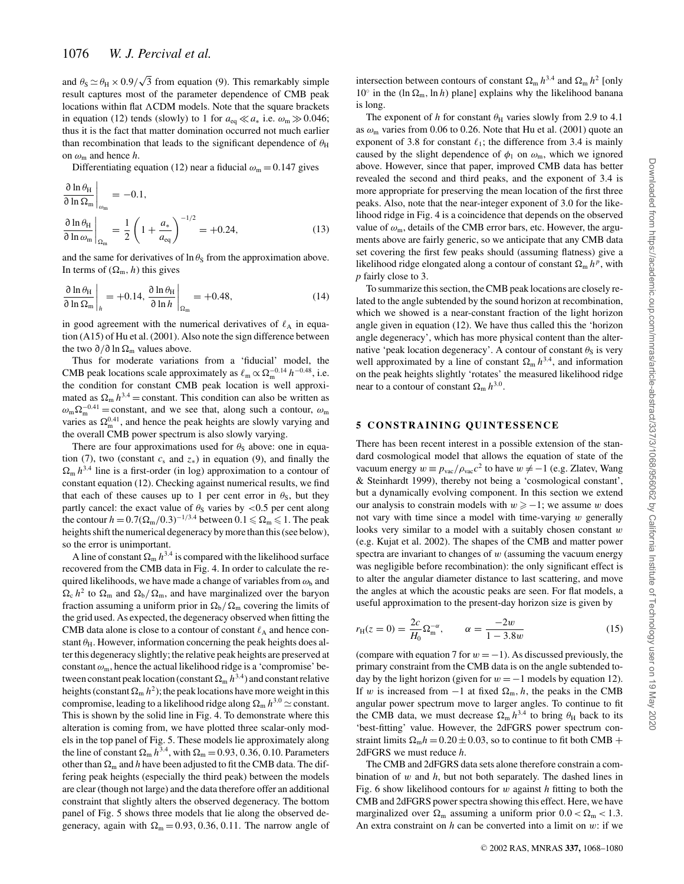and  $\theta_s \simeq \theta_H \times 0.9/\sqrt{3}$  from equation (9). This remarkably simple result captures most of the parameter dependence of CMB peak locations within flat ACDM models. Note that the square brackets in equation (12) tends (slowly) to 1 for  $a_{eq} \ll a_*$  i.e.  $\omega_m \gg 0.046$ ; thus it is the fact that matter domination occurred not much earlier than recombination that leads to the significant dependence of  $\theta_H$ on  $\omega_{\rm m}$  and hence *h*.

Differentiating equation (12) near a fiducial  $\omega_m = 0.147$  gives

$$
\frac{\partial \ln \theta_{\rm H}}{\partial \ln \Omega_{\rm m}}\Big|_{\omega_{\rm m}} = -0.1,
$$
  
\n
$$
\frac{\partial \ln \theta_{\rm H}}{\partial \ln \omega_{\rm m}}\Big|_{\Omega_{\rm m}} = \frac{1}{2} \left(1 + \frac{a_*}{a_{\rm eq}}\right)^{-1/2} = +0.24,
$$
\n(13)

and the same for derivatives of  $\ln \theta_s$  from the approximation above. In terms of  $(\Omega_m, h)$  this gives

$$
\left. \frac{\partial \ln \theta_{\rm H}}{\partial \ln \Omega_{\rm m}} \right|_h = +0.14, \left. \frac{\partial \ln \theta_{\rm H}}{\partial \ln h} \right|_{\Omega_{\rm m}} = +0.48, \tag{14}
$$

in good agreement with the numerical derivatives of  $\ell_A$  in equation (A15) of Hu et al. (2001). Also note the sign difference between the two ∂/∂ ln Ω<sub>m</sub> values above.

Thus for moderate variations from a 'fiducial' model, the CMB peak locations scale approximately as  $\ell_{\rm m} \propto \Omega_{\rm m}^{-0.14} h^{-0.48}$ , i.e. the condition for constant CMB peak location is well approximated as  $\Omega_m h^{3.4}$  = constant. This condition can also be written as  $\omega_m\Omega_m^{-0.41}$  = constant, and we see that, along such a contour,  $\omega_m$ varies as  $\Omega_{\rm m}^{0.41}$ , and hence the peak heights are slowly varying and the overall CMB power spectrum is also slowly varying.

There are four approximations used for  $\theta_s$  above: one in equation (7), two (constant  $c_s$  and  $z_*$ ) in equation (9), and finally the  $\Omega_{\rm m} h^{3.4}$  line is a first-order (in log) approximation to a contour of constant equation (12). Checking against numerical results, we find that each of these causes up to 1 per cent error in  $\theta_s$ , but they partly cancel: the exact value of  $\theta_s$  varies by <0.5 per cent along the contour  $h = 0.7(\Omega_m/0.3)^{-1/3.4}$  between  $0.1 \le \Omega_m \le 1$ . The peak heights shift the numerical degeneracy by more than this (see below), so the error is unimportant.

A line of constant  $\Omega_m h^{3.4}$  is compared with the likelihood surface recovered from the CMB data in Fig. 4. In order to calculate the required likelihoods, we have made a change of variables from  $\omega_{\rm b}$  and  $\Omega_c$  *h*<sup>2</sup> to  $\Omega_m$  and  $\Omega_b/\Omega_m$ , and have marginalized over the baryon fraction assuming a uniform prior in  $\Omega_{\rm b}/\Omega_{\rm m}$  covering the limits of the grid used. As expected, the degeneracy observed when fitting the CMB data alone is close to a contour of constant  $\ell_A$  and hence constant  $\theta_H$ . However, information concerning the peak heights does alter this degeneracy slightly; the relative peak heights are preserved at constant  $\omega_m$ , hence the actual likelihood ridge is a 'compromise' between constant peak location (constant  $\Omega_m h^{3.4}$ ) and constant relative heights (constant  $\Omega_{\rm m} h^2$ ); the peak locations have more weight in this compromise, leading to a likelihood ridge along  $\Omega_{\rm m} h^{3.0} \simeq$  constant. This is shown by the solid line in Fig. 4. To demonstrate where this alteration is coming from, we have plotted three scalar-only models in the top panel of Fig. 5. These models lie approximately along the line of constant  $\Omega_{\rm m} h^{3.4}$ , with  $\Omega_{\rm m} = 0.93, 0.36, 0.10$ . Parameters other than  $\Omega_{\rm m}$  and *h* have been adjusted to fit the CMB data. The differing peak heights (especially the third peak) between the models are clear (though not large) and the data therefore offer an additional constraint that slightly alters the observed degeneracy. The bottom panel of Fig. 5 shows three models that lie along the observed degeneracy, again with  $\Omega_{\rm m} = 0.93, 0.36, 0.11$ . The narrow angle of

intersection between contours of constant  $\Omega_{\rm m} h^{3.4}$  and  $\Omega_{\rm m} h^2$  [only  $10°$  in the (ln  $\Omega_{\rm m}$ , ln *h*) plane] explains why the likelihood banana is long.

The exponent of *h* for constant  $\theta_H$  varies slowly from 2.9 to 4.1 as  $\omega_{\rm m}$  varies from 0.06 to 0.26. Note that Hu et al. (2001) quote an exponent of 3.8 for constant  $\ell_1$ ; the difference from 3.4 is mainly caused by the slight dependence of  $\phi_1$  on  $\omega_m$ , which we ignored above. However, since that paper, improved CMB data has better revealed the second and third peaks, and the exponent of 3.4 is more appropriate for preserving the mean location of the first three peaks. Also, note that the near-integer exponent of 3.0 for the likelihood ridge in Fig. 4 is a coincidence that depends on the observed value of  $\omega_m$ , details of the CMB error bars, etc. However, the arguments above are fairly generic, so we anticipate that any CMB data set covering the first few peaks should (assuming flatness) give a likelihood ridge elongated along a contour of constant  $\Omega_{\rm m}$  *h*<sup>*p*</sup>, with *p* fairly close to 3.

To summarize this section, the CMB peak locations are closely related to the angle subtended by the sound horizon at recombination, which we showed is a near-constant fraction of the light horizon angle given in equation (12). We have thus called this the 'horizon angle degeneracy', which has more physical content than the alternative 'peak location degeneracy'. A contour of constant  $\theta_s$  is very well approximated by a line of constant  $\Omega_{\rm m} h^{3.4}$ , and information on the peak heights slightly 'rotates' the measured likelihood ridge near to a contour of constant  $\Omega_{\rm m} h^{3.0}$ .

## **5 CONSTRAINING QUINTESSENCE**

There has been recent interest in a possible extension of the standard cosmological model that allows the equation of state of the vacuum energy  $w \equiv p_{\text{vac}} / \rho_{\text{vac}} c^2$  to have  $w \neq -1$  (e.g. Zlatev, Wang & Steinhardt 1999), thereby not being a 'cosmological constant', but a dynamically evolving component. In this section we extend our analysis to constrain models with  $w \ge -1$ ; we assume w does not vary with time since a model with time-varying  $w$  generally looks very similar to a model with a suitably chosen constant  $w$ (e.g. Kujat et al. 2002). The shapes of the CMB and matter power spectra are invariant to changes of  $w$  (assuming the vacuum energy was negligible before recombination): the only significant effect is to alter the angular diameter distance to last scattering, and move the angles at which the acoustic peaks are seen. For flat models, a useful approximation to the present-day horizon size is given by

$$
r_{\rm H}(z=0) = \frac{2c}{H_0} \Omega_{\rm m}^{-\alpha}, \qquad \alpha = \frac{-2w}{1 - 3.8w} \tag{15}
$$

(compare with equation 7 for  $w = -1$ ). As discussed previously, the primary constraint from the CMB data is on the angle subtended today by the light horizon (given for  $w = -1$  models by equation 12). If w is increased from  $-1$  at fixed  $\Omega_{\rm m}$ , *h*, the peaks in the CMB angular power spectrum move to larger angles. To continue to fit the CMB data, we must decrease  $\Omega_{\rm m} h^{3.4}$  to bring  $\theta_{\rm H}$  back to its 'best-fitting' value. However, the 2dFGRS power spectrum constraint limits  $\Omega_m h = 0.20 \pm 0.03$ , so to continue to fit both CMB + 2dFGRS we must reduce *h*.

The CMB and 2dFGRS data sets alone therefore constrain a combination of w and *h*, but not both separately. The dashed lines in Fig. 6 show likelihood contours for w against *h* fitting to both the CMB and 2dFGRS power spectra showing this effect. Here, we have marginalized over  $\Omega_{\rm m}$  assuming a uniform prior  $0.0 < \Omega_{\rm m} < 1.3$ . An extra constraint on  $h$  can be converted into a limit on  $w$ : if we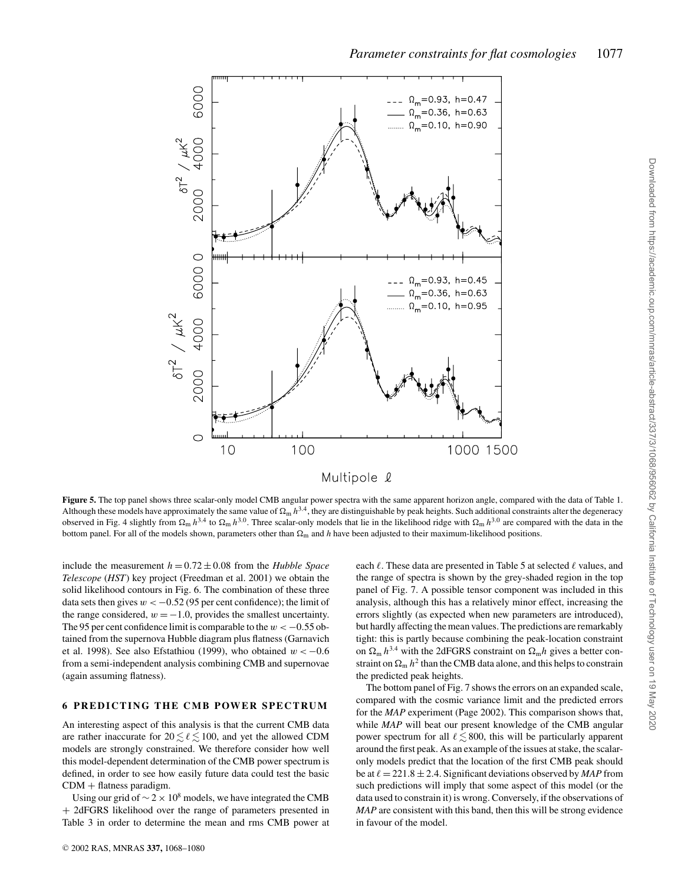

**Figure 5.** The top panel shows three scalar-only model CMB angular power spectra with the same apparent horizon angle, compared with the data of Table 1. Although these models have approximately the same value of  $\Omega_m h^{3.4}$ , they are distinguishable by peak heights. Such additional constraints alter the degeneracy observed in Fig. 4 slightly from  $\Omega_{\rm m} h^{3.4}$  to  $\Omega_{\rm m} h^{3.0}$ . Three scalar-only models that lie in the likelihood ridge with  $\Omega_{\rm m} h^{3.0}$  are compared with the data in the bottom panel. For all of the models shown, parameters other than  $\Omega_{\rm m}$  and *h* have been adjusted to their maximum-likelihood positions.

include the measurement  $h = 0.72 \pm 0.08$  from the *Hubble Space Telescope* (*HST*) key project (Freedman et al. 2001) we obtain the solid likelihood contours in Fig. 6. The combination of these three data sets then gives  $w < -0.52$  (95 per cent confidence); the limit of the range considered,  $w = -1.0$ , provides the smallest uncertainty. The 95 per cent confidence limit is comparable to the  $w < -0.55$  obtained from the supernova Hubble diagram plus flatness (Garnavich et al. 1998). See also Efstathiou (1999), who obtained  $w < -0.6$ from a semi-independent analysis combining CMB and supernovae (again assuming flatness).

## **6 PREDICTING THE CMB POWER SPECTRUM**

An interesting aspect of this analysis is that the current CMB data are rather inaccurate for  $20 \le \ell \le 100$ , and yet the allowed CDM models are strongly constrained. We therefore consider how well this model-dependent determination of the CMB power spectrum is defined, in order to see how easily future data could test the basic  $CDM + \text{flatness paradigm}.$ 

Using our grid of  $\sim$  2 × 10<sup>8</sup> models, we have integrated the CMB + 2dFGRS likelihood over the range of parameters presented in Table 3 in order to determine the mean and rms CMB power at each  $\ell$ . These data are presented in Table 5 at selected  $\ell$  values, and the range of spectra is shown by the grey-shaded region in the top panel of Fig. 7. A possible tensor component was included in this analysis, although this has a relatively minor effect, increasing the errors slightly (as expected when new parameters are introduced), but hardly affecting the mean values. The predictions are remarkably tight: this is partly because combining the peak-location constraint on  $\Omega_m h^{3.4}$  with the 2dFGRS constraint on  $\Omega_m h$  gives a better constraint on  $\Omega_{\rm m} h^2$  than the CMB data alone, and this helps to constrain the predicted peak heights.

The bottom panel of Fig. 7 shows the errors on an expanded scale, compared with the cosmic variance limit and the predicted errors for the *MAP* experiment (Page 2002). This comparison shows that, while *MAP* will beat our present knowledge of the CMB angular power spectrum for all  $\ell \leq 800$ , this will be particularly apparent around the first peak. As an example of the issues at stake, the scalaronly models predict that the location of the first CMB peak should be at  $\ell = 221.8 \pm 2.4$ . Significant deviations observed by *MAP* from such predictions will imply that some aspect of this model (or the data used to constrain it) is wrong. Conversely, if the observations of *MAP* are consistent with this band, then this will be strong evidence in favour of the model.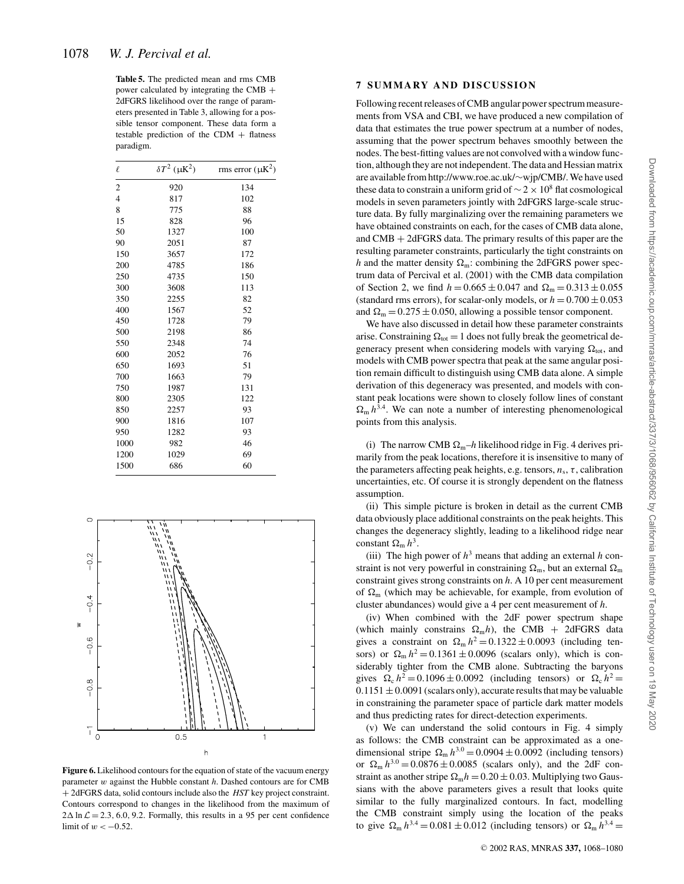**Table 5.** The predicted mean and rms CMB power calculated by integrating the CMB + 2dFGRS likelihood over the range of parameters presented in Table 3, allowing for a possible tensor component. These data form a testable prediction of the CDM  $+$  flatness paradigm.

| $\ell$         | $\delta T^2$ ( $\mu$ K <sup>2</sup> ) | rms error $(\mu K^2)$ |
|----------------|---------------------------------------|-----------------------|
| 2              | 920                                   | 134                   |
| $\overline{4}$ | 817                                   | 102                   |
| 8              | 775                                   | 88                    |
| 15             | 828                                   | 96                    |
| 50             | 1327                                  | 100                   |
| 90             | 2051                                  | 87                    |
| 150            | 3657                                  | 172                   |
| 200            | 4785                                  | 186                   |
| 250            | 4735                                  | 150                   |
| 300            | 3608                                  | 113                   |
| 350            | 2255                                  | 82                    |
| 400            | 1567                                  | 52                    |
| 450            | 1728                                  | 79                    |
| 500            | 2198                                  | 86                    |
| 550            | 2348                                  | 74                    |
| 600            | 2052                                  | 76                    |
| 650            | 1693                                  | 51                    |
| 700            | 1663                                  | 79                    |
| 750            | 1987                                  | 131                   |
| 800            | 2305                                  | 122                   |
| 850            | 2257                                  | 93                    |
| 900            | 1816                                  | 107                   |
| 950            | 1282                                  | 93                    |
| 1000           | 982                                   | 46                    |
| 1200           | 1029                                  | 69                    |
| 1500           | 686                                   | 60                    |



**Figure 6.** Likelihood contours for the equation of state of the vacuum energy parameter w against the Hubble constant *h*. Dashed contours are for CMB + 2dFGRS data, solid contours include also the *HST* key project constraint. Contours correspond to changes in the likelihood from the maximum of  $2\Delta \ln \mathcal{L} = 2.3, 6.0, 9.2$ . Formally, this results in a 95 per cent confidence limit of  $w < -0.52$ .

# **7 SUMMARY AND DISCUSSION**

Following recent releases of CMB angular power spectrum measurements from VSA and CBI, we have produced a new compilation of data that estimates the true power spectrum at a number of nodes, assuming that the power spectrum behaves smoothly between the nodes. The best-fitting values are not convolved with a window function, although they are not independent. The data and Hessian matrix are available from http://www.roe.ac.uk/∼wjp/CMB/. We have used these data to constrain a uniform grid of  $\sim$  2 × 10<sup>8</sup> flat cosmological models in seven parameters jointly with 2dFGRS large-scale structure data. By fully marginalizing over the remaining parameters we have obtained constraints on each, for the cases of CMB data alone, and  $CMB + 2dFGRS$  data. The primary results of this paper are the resulting parameter constraints, particularly the tight constraints on *h* and the matter density  $\Omega_{\rm m}$ : combining the 2dFGRS power spectrum data of Percival et al. (2001) with the CMB data compilation of Section 2, we find  $h = 0.665 \pm 0.047$  and  $\Omega_m = 0.313 \pm 0.055$ (standard rms errors), for scalar-only models, or  $h = 0.700 \pm 0.053$ and  $\Omega_m = 0.275 \pm 0.050$ , allowing a possible tensor component.

We have also discussed in detail how these parameter constraints arise. Constraining  $\Omega_{\text{tot}} = 1$  does not fully break the geometrical degeneracy present when considering models with varying  $\Omega_{\text{tot}}$ , and models with CMB power spectra that peak at the same angular position remain difficult to distinguish using CMB data alone. A simple derivation of this degeneracy was presented, and models with constant peak locations were shown to closely follow lines of constant  $\Omega_{\rm m} h^{3.4}$ . We can note a number of interesting phenomenological points from this analysis.

(i) The narrow CMB  $\Omega_m-h$  likelihood ridge in Fig. 4 derives primarily from the peak locations, therefore it is insensitive to many of the parameters affecting peak heights, e.g. tensors,  $n_s$ ,  $\tau$ , calibration uncertainties, etc. Of course it is strongly dependent on the flatness assumption.

(ii) This simple picture is broken in detail as the current CMB data obviously place additional constraints on the peak heights. This changes the degeneracy slightly, leading to a likelihood ridge near constant  $\Omega_{\rm m} h^3$ .

(iii) The high power of  $h^3$  means that adding an external *h* constraint is not very powerful in constraining  $\Omega_{\rm m}$ , but an external  $\Omega_{\rm m}$ constraint gives strong constraints on *h*. A 10 per cent measurement of  $\Omega_{\rm m}$  (which may be achievable, for example, from evolution of cluster abundances) would give a 4 per cent measurement of *h*.

(iv) When combined with the 2dF power spectrum shape (which mainly constrains  $\Omega_{\rm m}h$ ), the CMB + 2dFGRS data gives a constraint on  $\Omega_m h^2 = 0.1322 \pm 0.0093$  (including tensors) or  $\Omega_m h^2 = 0.1361 \pm 0.0096$  (scalars only), which is considerably tighter from the CMB alone. Subtracting the baryons gives  $\Omega_c h^2 = 0.1096 \pm 0.0092$  (including tensors) or  $\Omega_c h^2 =$  $0.1151 \pm 0.0091$  (scalars only), accurate results that may be valuable in constraining the parameter space of particle dark matter models and thus predicting rates for direct-detection experiments.

(v) We can understand the solid contours in Fig. 4 simply as follows: the CMB constraint can be approximated as a onedimensional stripe  $\Omega_{\rm m} h^{3.0} = 0.0904 \pm 0.0092$  (including tensors) or  $\Omega_{\rm m} h^{3.0} = 0.0876 \pm 0.0085$  (scalars only), and the 2dF constraint as another stripe  $\Omega_m h = 0.20 \pm 0.03$ . Multiplying two Gaussians with the above parameters gives a result that looks quite similar to the fully marginalized contours. In fact, modelling the CMB constraint simply using the location of the peaks to give  $\Omega_{\rm m} h^{3.4} = 0.081 \pm 0.012$  (including tensors) or  $\Omega_{\rm m} h^{3.4} =$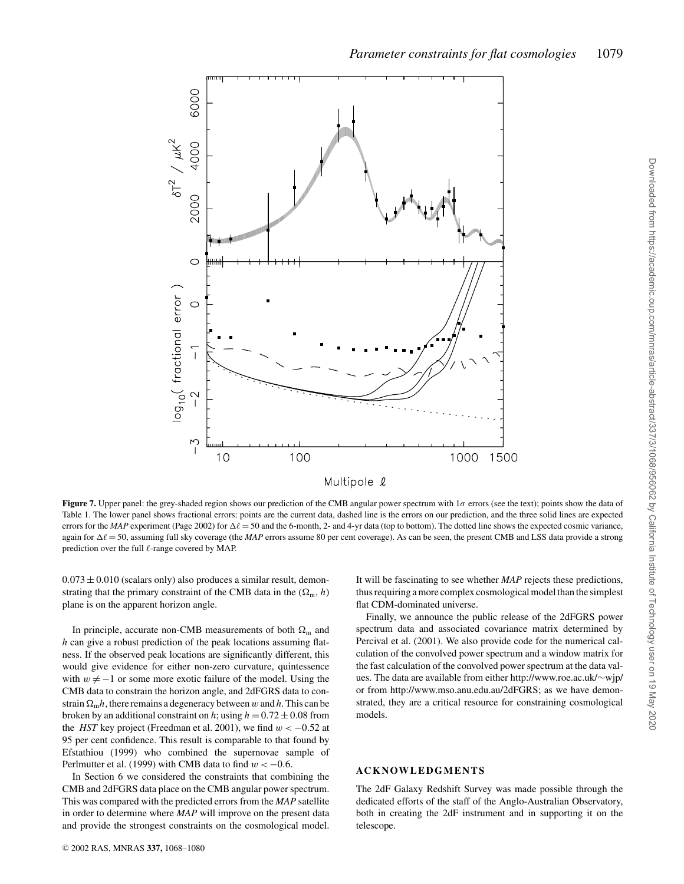

**Figure 7.** Upper panel: the grey-shaded region shows our prediction of the CMB angular power spectrum with 1 $\sigma$  errors (see the text); points show the data of Table 1. The lower panel shows fractional errors: points are the current data, dashed line is the errors on our prediction, and the three solid lines are expected errors for the *MAP* experiment (Page 2002) for  $\Delta \ell = 50$  and the 6-month, 2- and 4-yr data (top to bottom). The dotted line shows the expected cosmic variance, again for  $\Delta \ell = 50$ , assuming full sky coverage (the *MAP* errors assume 80 per cent coverage). As can be seen, the present CMB and LSS data provide a strong prediction over the full  $\ell$ -range covered by MAP.

 $0.073 \pm 0.010$  (scalars only) also produces a similar result, demonstrating that the primary constraint of the CMB data in the  $(\Omega_m, h)$ plane is on the apparent horizon angle.

In principle, accurate non-CMB measurements of both  $\Omega_{\rm m}$  and *h* can give a robust prediction of the peak locations assuming flatness. If the observed peak locations are significantly different, this would give evidence for either non-zero curvature, quintessence with  $w \neq -1$  or some more exotic failure of the model. Using the CMB data to constrain the horizon angle, and 2dFGRS data to constrain  $\Omega_m h$ , there remains a degeneracy between w and h. This can be broken by an additional constraint on *h*; using  $h = 0.72 \pm 0.08$  from the *HST* key project (Freedman et al. 2001), we find  $w < -0.52$  at 95 per cent confidence. This result is comparable to that found by Efstathiou (1999) who combined the supernovae sample of Perlmutter et al. (1999) with CMB data to find  $w < -0.6$ .

In Section 6 we considered the constraints that combining the CMB and 2dFGRS data place on the CMB angular power spectrum. This was compared with the predicted errors from the *MAP* satellite in order to determine where *MAP* will improve on the present data and provide the strongest constraints on the cosmological model. It will be fascinating to see whether *MAP* rejects these predictions, thus requiring a more complex cosmological model than the simplest flat CDM-dominated universe.

Finally, we announce the public release of the 2dFGRS power spectrum data and associated covariance matrix determined by Percival et al. (2001). We also provide code for the numerical calculation of the convolved power spectrum and a window matrix for the fast calculation of the convolved power spectrum at the data values. The data are available from either http://www.roe.ac.uk/∼wjp/ or from http://www.mso.anu.edu.au/2dFGRS; as we have demonstrated, they are a critical resource for constraining cosmological models.

#### **ACKNOWLEDGMENTS**

The 2dF Galaxy Redshift Survey was made possible through the dedicated efforts of the staff of the Anglo-Australian Observatory, both in creating the 2dF instrument and in supporting it on the telescope.